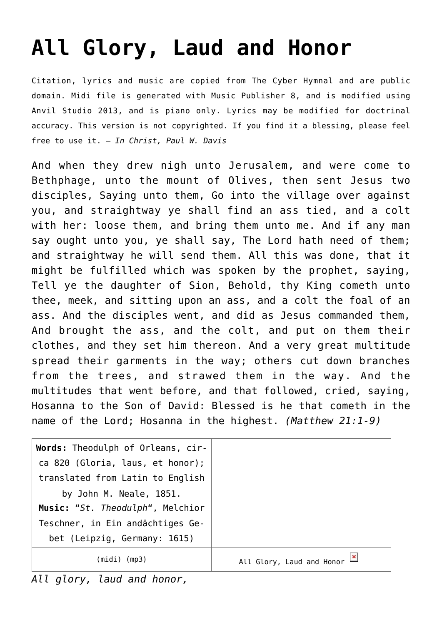## **[All Glory, Laud and Honor](http://reproachofmen.org/hymns-and-music/all-glory-laud-and-honor/)**

Citation, lyrics and music are copied from [The Cyber Hymnal](http://www.hymntime.com/tch/) and are public domain. Midi file is generated with [Music Publisher 8](http://www.braeburn.co.uk/mp.htm), and is modified using [Anvil Studio 2013](http://www.anvilstudio.com/), and is piano only. Lyrics may be modified for doctrinal accuracy. This version is not copyrighted. If you find it a blessing, please feel free to use it. — *In Christ, Paul W. Davis*

And when they drew nigh unto Jerusalem, and were come to Bethphage, unto the mount of Olives, then sent Jesus two disciples, Saying unto them, Go into the village over against you, and straightway ye shall find an ass tied, and a colt with her: loose them, and bring them unto me. And if any man say ought unto you, ye shall say, The Lord hath need of them; and straightway he will send them. All this was done, that it might be fulfilled which was spoken by the prophet, saying, Tell ye the daughter of Sion, Behold, thy King cometh unto thee, meek, and sitting upon an ass, and a colt the foal of an ass. And the disciples went, and did as Jesus commanded them, And brought the ass, and the colt, and put on them their clothes, and they set him thereon. And a very great multitude spread their garments in the way; others cut down branches from the trees, and strawed them in the way. And the multitudes that went before, and that followed, cried, saying, Hosanna to the Son of David: Blessed is he that cometh in the name of the Lord; Hosanna in the highest. *(Matthew 21:1-9)*

| Words: Theodulph of Orleans, cir- |                           |
|-----------------------------------|---------------------------|
| ca 820 (Gloria, laus, et honor);  |                           |
| translated from Latin to English  |                           |
| by John M. Neale, 1851.           |                           |
| Music: "St. Theodulph", Melchior  |                           |
| Teschner, in Ein andächtiges Ge-  |                           |
| bet (Leipzig, Germany: 1615)      |                           |
| (midi) (mp3)                      | All Glory, Laud and Honor |

*All glory, laud and honor,*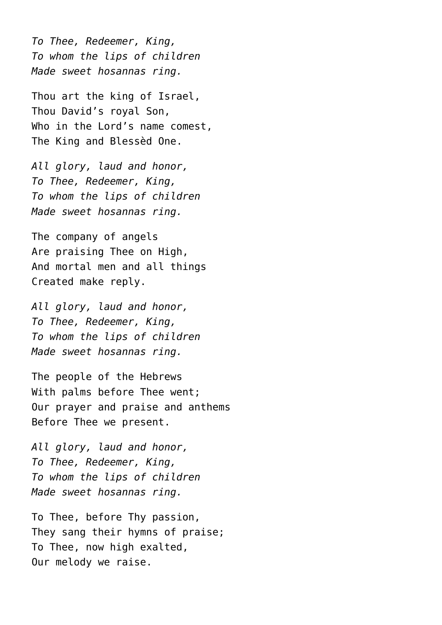*To Thee, Redeemer, King, To whom the lips of children Made sweet hosannas ring.*

Thou art the king of Israel, Thou David's royal Son, Who in the Lord's name comest. The King and Blessèd One.

*All glory, laud and honor, To Thee, Redeemer, King, To whom the lips of children Made sweet hosannas ring.*

The company of angels Are praising Thee on High, And mortal men and all things Created make reply.

*All glory, laud and honor, To Thee, Redeemer, King, To whom the lips of children Made sweet hosannas ring.*

The people of the Hebrews With palms before Thee went; Our prayer and praise and anthems Before Thee we present.

*All glory, laud and honor, To Thee, Redeemer, King, To whom the lips of children Made sweet hosannas ring.*

To Thee, before Thy passion, They sang their hymns of praise; To Thee, now high exalted, Our melody we raise.